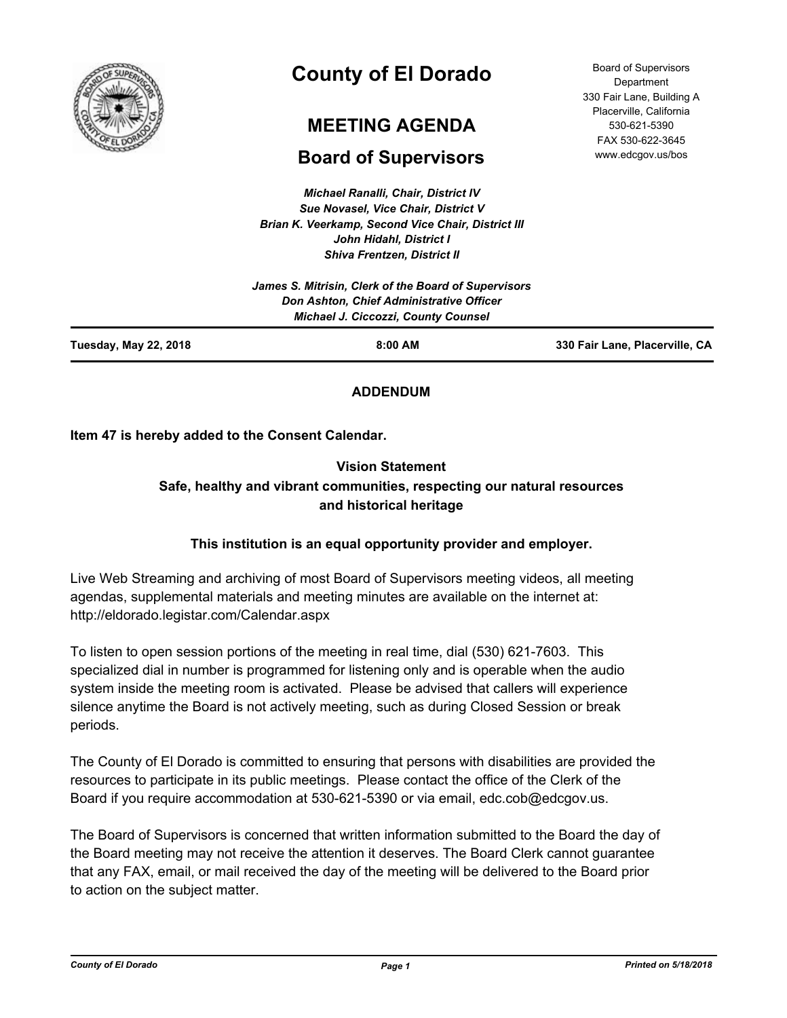

# **County of El Dorado**

# **MEETING AGENDA**

# **Board of Supervisors**

*Michael Ranalli, Chair, District IV Sue Novasel, Vice Chair, District V Brian K. Veerkamp, Second Vice Chair, District III John Hidahl, District I Shiva Frentzen, District II*

| Tuesday, May 22, 2018<br>$8:00$ AM                                                                                                                    | 330 Fair Lane, Placerville, CA |
|-------------------------------------------------------------------------------------------------------------------------------------------------------|--------------------------------|
| James S. Mitrisin, Clerk of the Board of Supervisors<br><b>Don Ashton, Chief Administrative Officer</b><br><b>Michael J. Ciccozzi, County Counsel</b> |                                |

## **ADDENDUM**

**Item 47 is hereby added to the Consent Calendar.**

## **Vision Statement Safe, healthy and vibrant communities, respecting our natural resources and historical heritage**

## **This institution is an equal opportunity provider and employer.**

Live Web Streaming and archiving of most Board of Supervisors meeting videos, all meeting agendas, supplemental materials and meeting minutes are available on the internet at: http://eldorado.legistar.com/Calendar.aspx

To listen to open session portions of the meeting in real time, dial (530) 621-7603. This specialized dial in number is programmed for listening only and is operable when the audio system inside the meeting room is activated. Please be advised that callers will experience silence anytime the Board is not actively meeting, such as during Closed Session or break periods.

The County of El Dorado is committed to ensuring that persons with disabilities are provided the resources to participate in its public meetings. Please contact the office of the Clerk of the Board if you require accommodation at 530-621-5390 or via email, edc.cob@edcgov.us.

The Board of Supervisors is concerned that written information submitted to the Board the day of the Board meeting may not receive the attention it deserves. The Board Clerk cannot guarantee that any FAX, email, or mail received the day of the meeting will be delivered to the Board prior to action on the subject matter.

*County of El Dorado Page 1 Printed on 5/18/2018*

Board of Supervisors **Department** 330 Fair Lane, Building A Placerville, California 530-621-5390 FAX 530-622-3645 www.edcgov.us/bos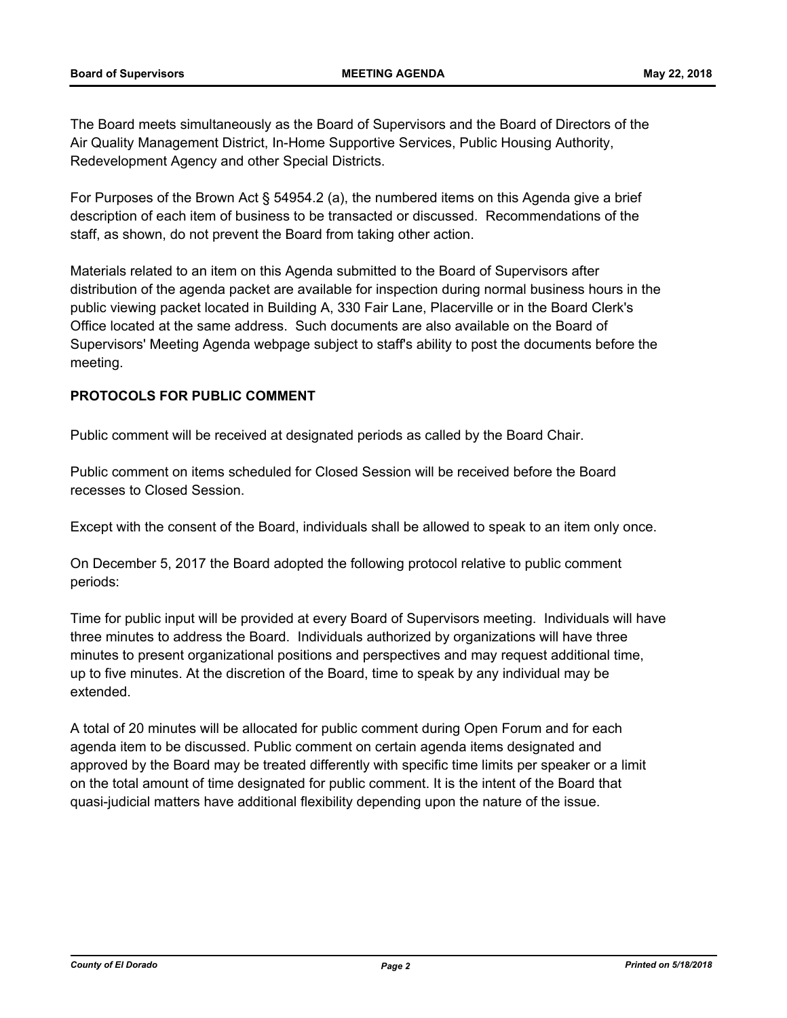The Board meets simultaneously as the Board of Supervisors and the Board of Directors of the Air Quality Management District, In-Home Supportive Services, Public Housing Authority, Redevelopment Agency and other Special Districts.

For Purposes of the Brown Act § 54954.2 (a), the numbered items on this Agenda give a brief description of each item of business to be transacted or discussed. Recommendations of the staff, as shown, do not prevent the Board from taking other action.

Materials related to an item on this Agenda submitted to the Board of Supervisors after distribution of the agenda packet are available for inspection during normal business hours in the public viewing packet located in Building A, 330 Fair Lane, Placerville or in the Board Clerk's Office located at the same address. Such documents are also available on the Board of Supervisors' Meeting Agenda webpage subject to staff's ability to post the documents before the meeting.

## **PROTOCOLS FOR PUBLIC COMMENT**

Public comment will be received at designated periods as called by the Board Chair.

Public comment on items scheduled for Closed Session will be received before the Board recesses to Closed Session.

Except with the consent of the Board, individuals shall be allowed to speak to an item only once.

On December 5, 2017 the Board adopted the following protocol relative to public comment periods:

Time for public input will be provided at every Board of Supervisors meeting. Individuals will have three minutes to address the Board. Individuals authorized by organizations will have three minutes to present organizational positions and perspectives and may request additional time, up to five minutes. At the discretion of the Board, time to speak by any individual may be extended.

A total of 20 minutes will be allocated for public comment during Open Forum and for each agenda item to be discussed. Public comment on certain agenda items designated and approved by the Board may be treated differently with specific time limits per speaker or a limit on the total amount of time designated for public comment. It is the intent of the Board that quasi-judicial matters have additional flexibility depending upon the nature of the issue.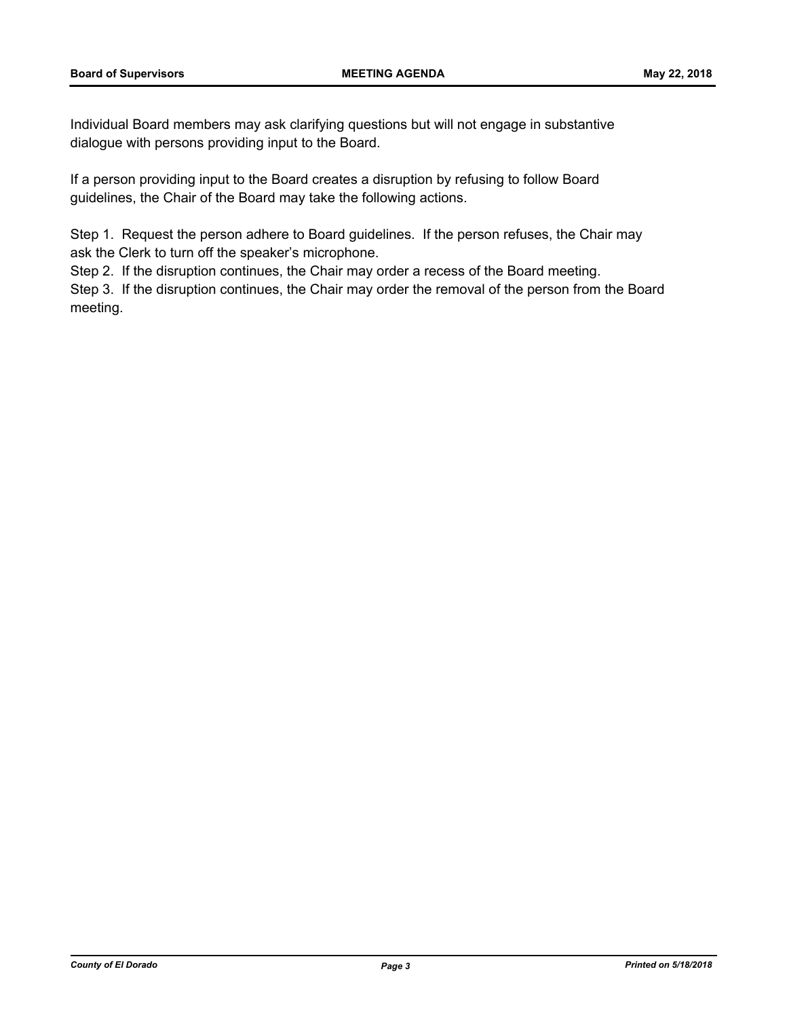Individual Board members may ask clarifying questions but will not engage in substantive dialogue with persons providing input to the Board.

If a person providing input to the Board creates a disruption by refusing to follow Board guidelines, the Chair of the Board may take the following actions.

Step 1. Request the person adhere to Board guidelines. If the person refuses, the Chair may ask the Clerk to turn off the speaker's microphone.

Step 2. If the disruption continues, the Chair may order a recess of the Board meeting.

Step 3. If the disruption continues, the Chair may order the removal of the person from the Board meeting.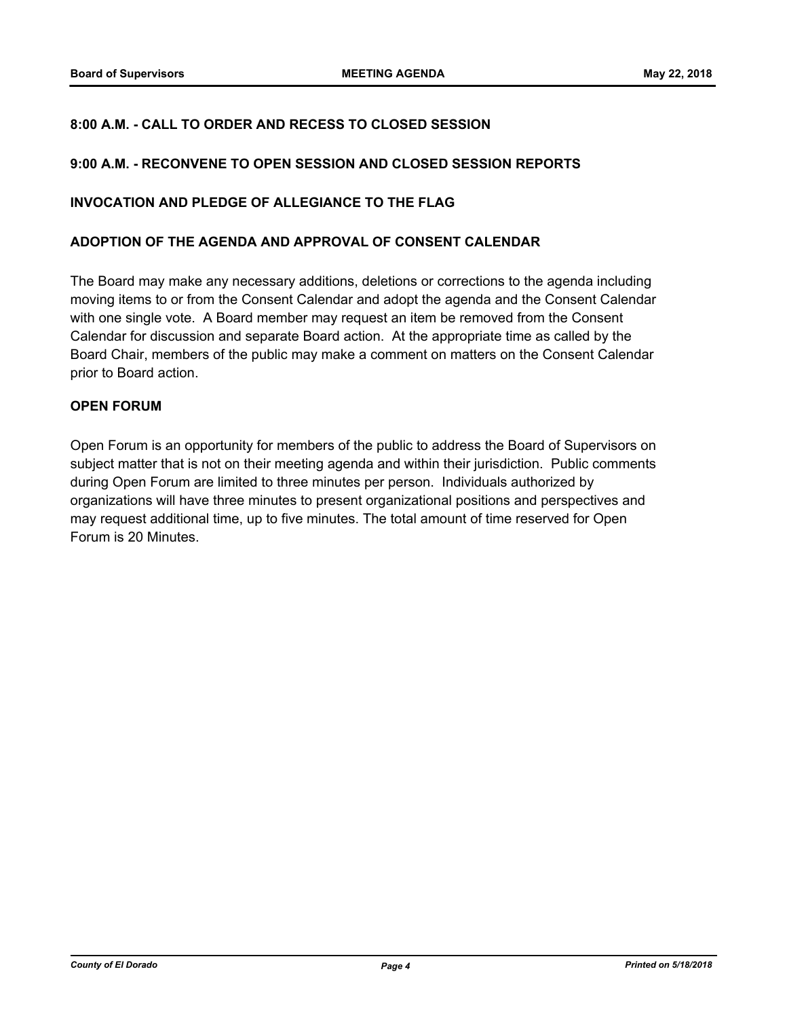## **8:00 A.M. - CALL TO ORDER AND RECESS TO CLOSED SESSION**

## **9:00 A.M. - RECONVENE TO OPEN SESSION AND CLOSED SESSION REPORTS**

### **INVOCATION AND PLEDGE OF ALLEGIANCE TO THE FLAG**

#### **ADOPTION OF THE AGENDA AND APPROVAL OF CONSENT CALENDAR**

The Board may make any necessary additions, deletions or corrections to the agenda including moving items to or from the Consent Calendar and adopt the agenda and the Consent Calendar with one single vote. A Board member may request an item be removed from the Consent Calendar for discussion and separate Board action. At the appropriate time as called by the Board Chair, members of the public may make a comment on matters on the Consent Calendar prior to Board action.

## **OPEN FORUM**

Open Forum is an opportunity for members of the public to address the Board of Supervisors on subject matter that is not on their meeting agenda and within their jurisdiction. Public comments during Open Forum are limited to three minutes per person. Individuals authorized by organizations will have three minutes to present organizational positions and perspectives and may request additional time, up to five minutes. The total amount of time reserved for Open Forum is 20 Minutes.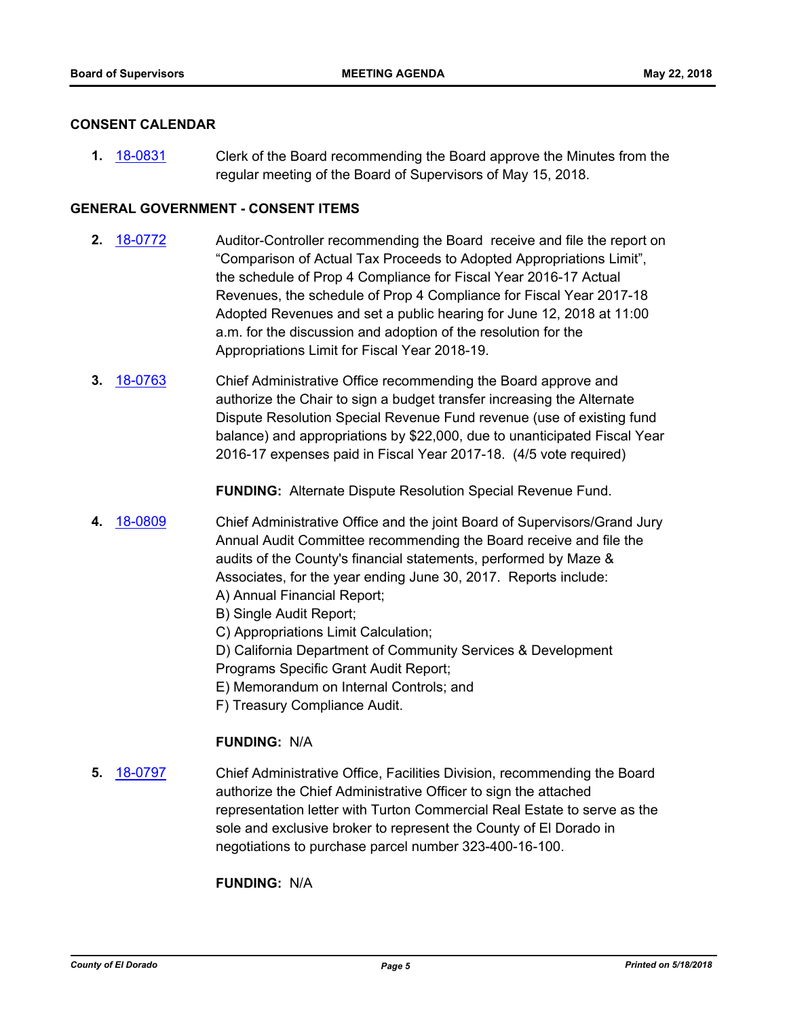#### **CONSENT CALENDAR**

**1.** [18-0831](http://eldorado.legistar.com/gateway.aspx?m=l&id=/matter.aspx?key=24178) Clerk of the Board recommending the Board approve the Minutes from the regular meeting of the Board of Supervisors of May 15, 2018.

## **GENERAL GOVERNMENT - CONSENT ITEMS**

- **2.** [18-0772](http://eldorado.legistar.com/gateway.aspx?m=l&id=/matter.aspx?key=24119) Auditor-Controller recommending the Board receive and file the report on "Comparison of Actual Tax Proceeds to Adopted Appropriations Limit", the schedule of Prop 4 Compliance for Fiscal Year 2016-17 Actual Revenues, the schedule of Prop 4 Compliance for Fiscal Year 2017-18 Adopted Revenues and set a public hearing for June 12, 2018 at 11:00 a.m. for the discussion and adoption of the resolution for the Appropriations Limit for Fiscal Year 2018-19.
- **3.** [18-0763](http://eldorado.legistar.com/gateway.aspx?m=l&id=/matter.aspx?key=24110) Chief Administrative Office recommending the Board approve and authorize the Chair to sign a budget transfer increasing the Alternate Dispute Resolution Special Revenue Fund revenue (use of existing fund balance) and appropriations by \$22,000, due to unanticipated Fiscal Year 2016-17 expenses paid in Fiscal Year 2017-18. (4/5 vote required)

**FUNDING:** Alternate Dispute Resolution Special Revenue Fund.

- **4.** [18-0809](http://eldorado.legistar.com/gateway.aspx?m=l&id=/matter.aspx?key=24156) Chief Administrative Office and the joint Board of Supervisors/Grand Jury Annual Audit Committee recommending the Board receive and file the audits of the County's financial statements, performed by Maze & Associates, for the year ending June 30, 2017. Reports include: A) Annual Financial Report;
	- B) Single Audit Report;
	- C) Appropriations Limit Calculation;
	- D) California Department of Community Services & Development
	- Programs Specific Grant Audit Report;
	- E) Memorandum on Internal Controls; and
	- F) Treasury Compliance Audit.

## **FUNDING:** N/A

**5.** [18-0797](http://eldorado.legistar.com/gateway.aspx?m=l&id=/matter.aspx?key=24144) Chief Administrative Office, Facilities Division, recommending the Board authorize the Chief Administrative Officer to sign the attached representation letter with Turton Commercial Real Estate to serve as the sole and exclusive broker to represent the County of El Dorado in negotiations to purchase parcel number 323-400-16-100.

**FUNDING:** N/A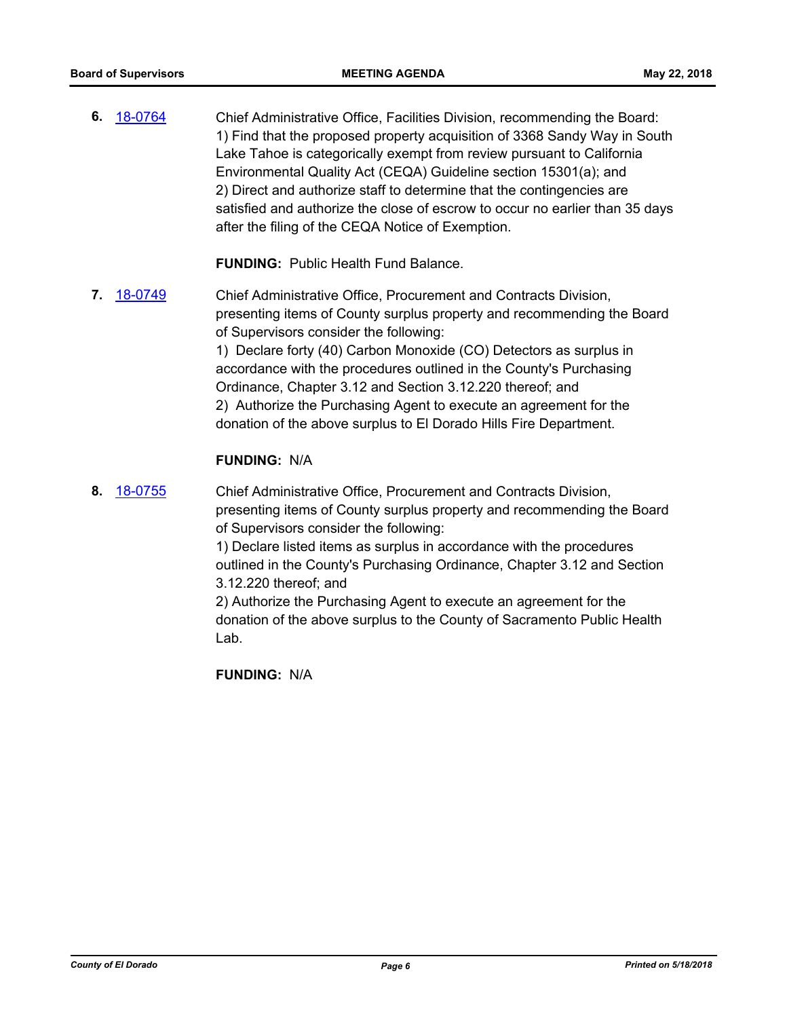**6.** [18-0764](http://eldorado.legistar.com/gateway.aspx?m=l&id=/matter.aspx?key=24111) Chief Administrative Office, Facilities Division, recommending the Board: 1) Find that the proposed property acquisition of 3368 Sandy Way in South Lake Tahoe is categorically exempt from review pursuant to California Environmental Quality Act (CEQA) Guideline section 15301(a); and 2) Direct and authorize staff to determine that the contingencies are satisfied and authorize the close of escrow to occur no earlier than 35 days after the filing of the CEQA Notice of Exemption.

**FUNDING:** Public Health Fund Balance.

**7.** [18-0749](http://eldorado.legistar.com/gateway.aspx?m=l&id=/matter.aspx?key=24096) Chief Administrative Office, Procurement and Contracts Division, presenting items of County surplus property and recommending the Board of Supervisors consider the following: 1) Declare forty (40) Carbon Monoxide (CO) Detectors as surplus in accordance with the procedures outlined in the County's Purchasing Ordinance, Chapter 3.12 and Section 3.12.220 thereof; and 2) Authorize the Purchasing Agent to execute an agreement for the donation of the above surplus to El Dorado Hills Fire Department.

## **FUNDING:** N/A

**8.** [18-0755](http://eldorado.legistar.com/gateway.aspx?m=l&id=/matter.aspx?key=24102) Chief Administrative Office, Procurement and Contracts Division, presenting items of County surplus property and recommending the Board of Supervisors consider the following:

> 1) Declare listed items as surplus in accordance with the procedures outlined in the County's Purchasing Ordinance, Chapter 3.12 and Section 3.12.220 thereof; and

> 2) Authorize the Purchasing Agent to execute an agreement for the donation of the above surplus to the County of Sacramento Public Health Lab.

**FUNDING:** N/A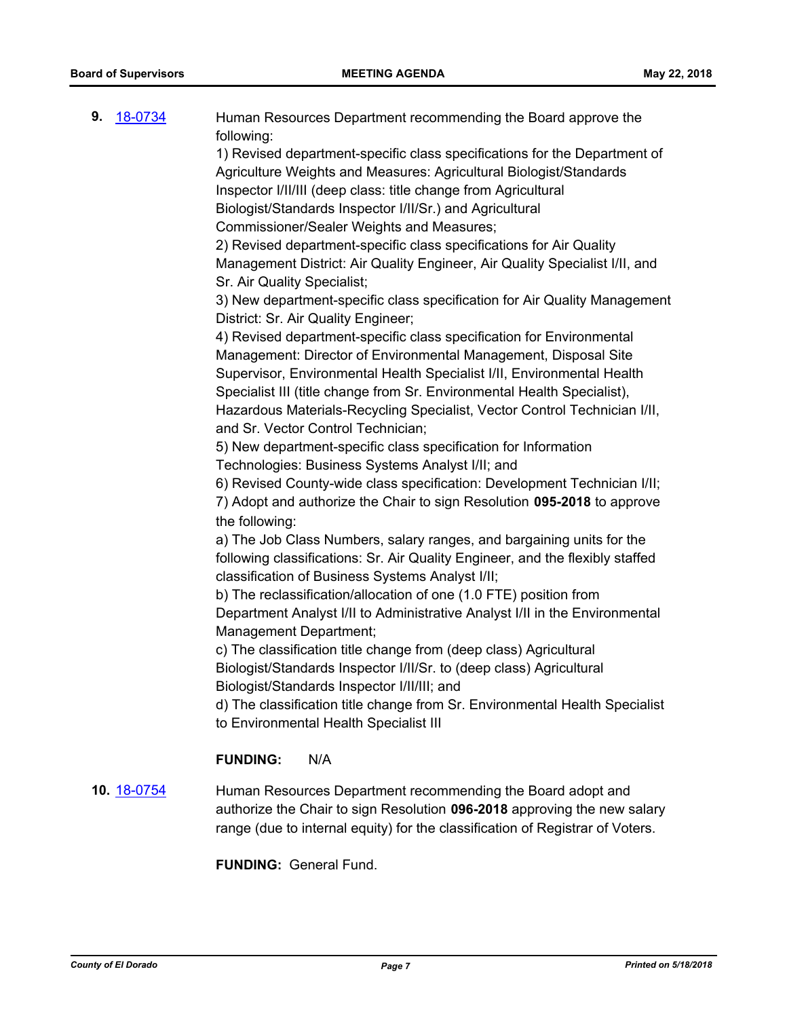| 9.<br>18-0734      | Human Resources Department recommending the Board approve the<br>following:                                                                                                                                              |
|--------------------|--------------------------------------------------------------------------------------------------------------------------------------------------------------------------------------------------------------------------|
|                    | 1) Revised department-specific class specifications for the Department of                                                                                                                                                |
|                    | Agriculture Weights and Measures: Agricultural Biologist/Standards                                                                                                                                                       |
|                    | Inspector I/II/III (deep class: title change from Agricultural                                                                                                                                                           |
|                    | Biologist/Standards Inspector I/II/Sr.) and Agricultural                                                                                                                                                                 |
|                    | Commissioner/Sealer Weights and Measures;                                                                                                                                                                                |
|                    | 2) Revised department-specific class specifications for Air Quality                                                                                                                                                      |
|                    | Management District: Air Quality Engineer, Air Quality Specialist I/II, and<br>Sr. Air Quality Specialist;                                                                                                               |
|                    | 3) New department-specific class specification for Air Quality Management                                                                                                                                                |
|                    | District: Sr. Air Quality Engineer;                                                                                                                                                                                      |
|                    | 4) Revised department-specific class specification for Environmental                                                                                                                                                     |
|                    | Management: Director of Environmental Management, Disposal Site                                                                                                                                                          |
|                    | Supervisor, Environmental Health Specialist I/II, Environmental Health                                                                                                                                                   |
|                    | Specialist III (title change from Sr. Environmental Health Specialist),                                                                                                                                                  |
|                    | Hazardous Materials-Recycling Specialist, Vector Control Technician I/II,                                                                                                                                                |
|                    | and Sr. Vector Control Technician;                                                                                                                                                                                       |
|                    | 5) New department-specific class specification for Information                                                                                                                                                           |
|                    | Technologies: Business Systems Analyst I/II; and                                                                                                                                                                         |
|                    | 6) Revised County-wide class specification: Development Technician I/II;                                                                                                                                                 |
|                    | 7) Adopt and authorize the Chair to sign Resolution 095-2018 to approve                                                                                                                                                  |
|                    | the following:                                                                                                                                                                                                           |
|                    | a) The Job Class Numbers, salary ranges, and bargaining units for the                                                                                                                                                    |
|                    | following classifications: Sr. Air Quality Engineer, and the flexibly staffed<br>classification of Business Systems Analyst I/II;                                                                                        |
|                    | b) The reclassification/allocation of one (1.0 FTE) position from                                                                                                                                                        |
|                    | Department Analyst I/II to Administrative Analyst I/II in the Environmental                                                                                                                                              |
|                    | Management Department;                                                                                                                                                                                                   |
|                    | c) The classification title change from (deep class) Agricultural                                                                                                                                                        |
|                    | Biologist/Standards Inspector I/II/Sr. to (deep class) Agricultural                                                                                                                                                      |
|                    | Biologist/Standards Inspector I/II/III; and                                                                                                                                                                              |
|                    | d) The classification title change from Sr. Environmental Health Specialist<br>to Environmental Health Specialist III                                                                                                    |
|                    | N/A<br><b>FUNDING:</b>                                                                                                                                                                                                   |
| 10. <u>18-0754</u> | Human Resources Department recommending the Board adopt and<br>authorize the Chair to sign Resolution 096-2018 approving the new salary<br>range (due to internal equity) for the classification of Registrar of Voters. |

**FUNDING:** General Fund.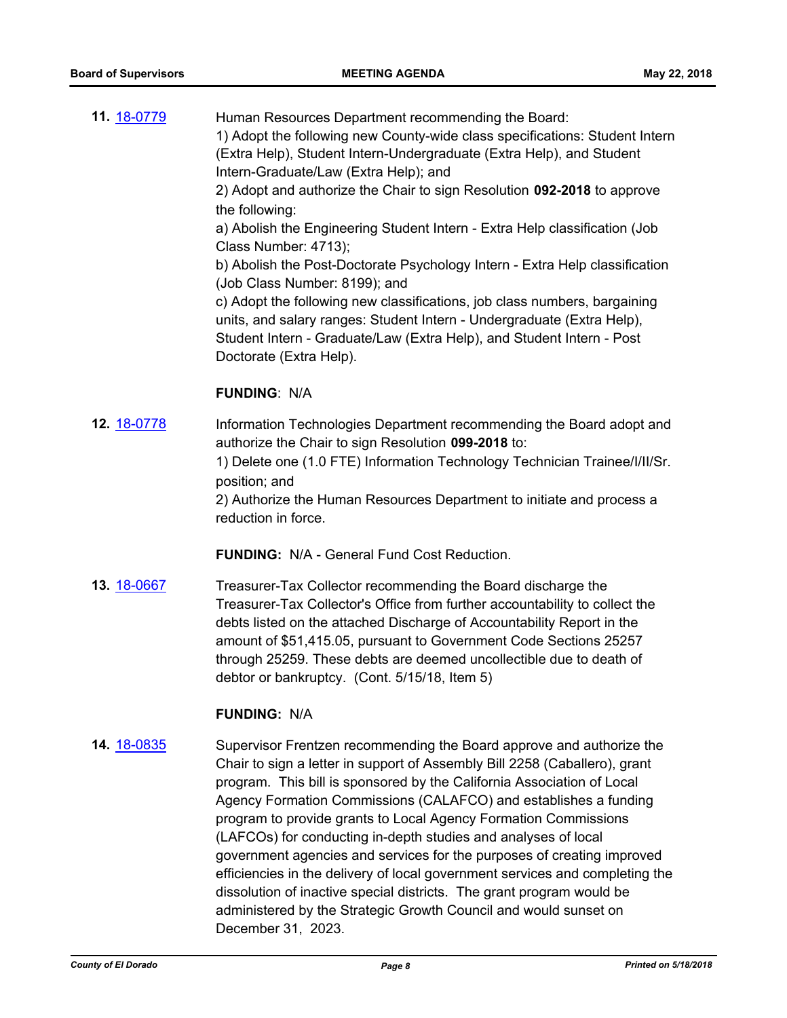| 11. 18-0779 | Human Resources Department recommending the Board:                                                                                                  |
|-------------|-----------------------------------------------------------------------------------------------------------------------------------------------------|
|             | 1) Adopt the following new County-wide class specifications: Student Intern                                                                         |
|             | (Extra Help), Student Intern-Undergraduate (Extra Help), and Student                                                                                |
|             | Intern-Graduate/Law (Extra Help); and                                                                                                               |
|             | 2) Adopt and authorize the Chair to sign Resolution 092-2018 to approve                                                                             |
|             | the following:                                                                                                                                      |
|             | a) Abolish the Engineering Student Intern - Extra Help classification (Job<br>Class Number: 4713);                                                  |
|             | b) Abolish the Post-Doctorate Psychology Intern - Extra Help classification<br>(Job Class Number: 8199); and                                        |
|             | c) Adopt the following new classifications, job class numbers, bargaining<br>units, and salary ranges: Student Intern - Undergraduate (Extra Help), |
|             | Student Intern - Graduate/Law (Extra Help), and Student Intern - Post                                                                               |
|             | Doctorate (Extra Help).                                                                                                                             |
|             |                                                                                                                                                     |
|             | <b>FUNDING: N/A</b>                                                                                                                                 |
| 12. 18-0778 | Information Technologies Department recommending the Board adopt and<br>authorize the Chair to sign Resolution 099-2018 to:                         |
|             | 1) Delete one (1.0 FTE) Information Technology Technician Trainee/I/II/Sr.<br>position; and                                                         |
|             | 2) Authorize the Human Resources Department to initiate and process a                                                                               |

reduction in force.

**FUNDING:** N/A - General Fund Cost Reduction.

**13.** [18-0667](http://eldorado.legistar.com/gateway.aspx?m=l&id=/matter.aspx?key=24012) Treasurer-Tax Collector recommending the Board discharge the Treasurer-Tax Collector's Office from further accountability to collect the debts listed on the attached Discharge of Accountability Report in the amount of \$51,415.05, pursuant to Government Code Sections 25257 through 25259. These debts are deemed uncollectible due to death of debtor or bankruptcy. (Cont. 5/15/18, Item 5)

## **FUNDING:** N/A

**14.** [18-0835](http://eldorado.legistar.com/gateway.aspx?m=l&id=/matter.aspx?key=24182) Supervisor Frentzen recommending the Board approve and authorize the Chair to sign a letter in support of Assembly Bill 2258 (Caballero), grant program. This bill is sponsored by the California Association of Local Agency Formation Commissions (CALAFCO) and establishes a funding program to provide grants to Local Agency Formation Commissions (LAFCOs) for conducting in-depth studies and analyses of local government agencies and services for the purposes of creating improved efficiencies in the delivery of local government services and completing the dissolution of inactive special districts. The grant program would be administered by the Strategic Growth Council and would sunset on December 31, 2023.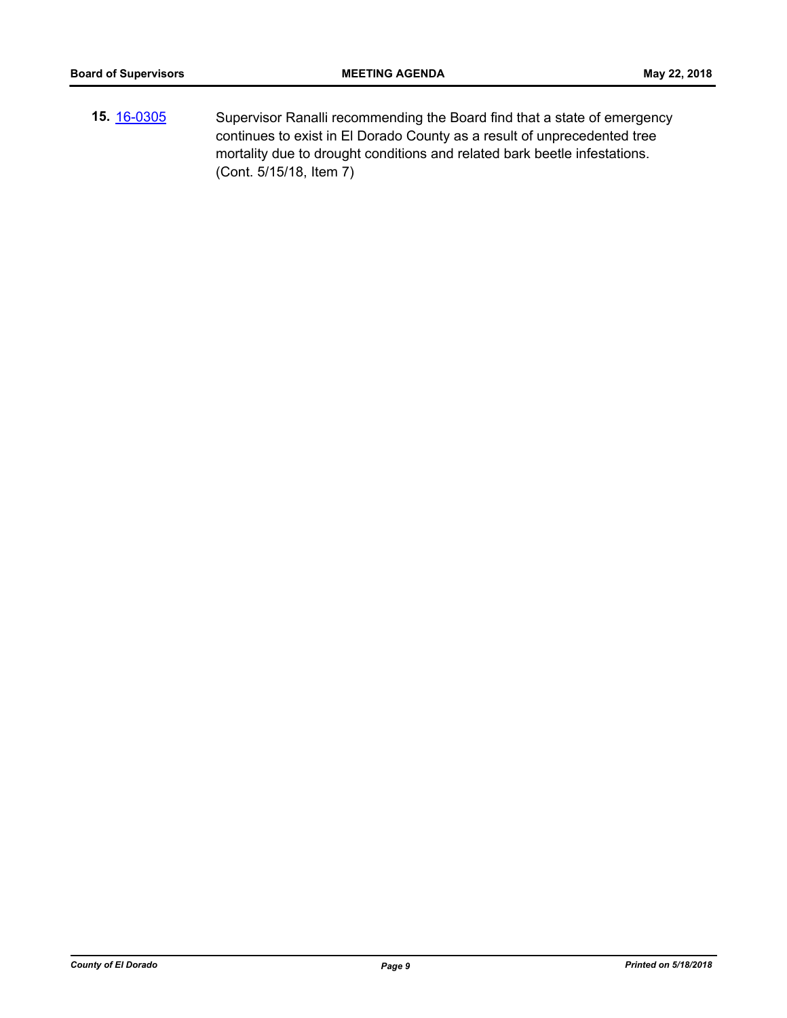**15.** [16-0305](http://eldorado.legistar.com/gateway.aspx?m=l&id=/matter.aspx?key=20961) Supervisor Ranalli recommending the Board find that a state of emergency continues to exist in El Dorado County as a result of unprecedented tree mortality due to drought conditions and related bark beetle infestations. (Cont. 5/15/18, Item 7)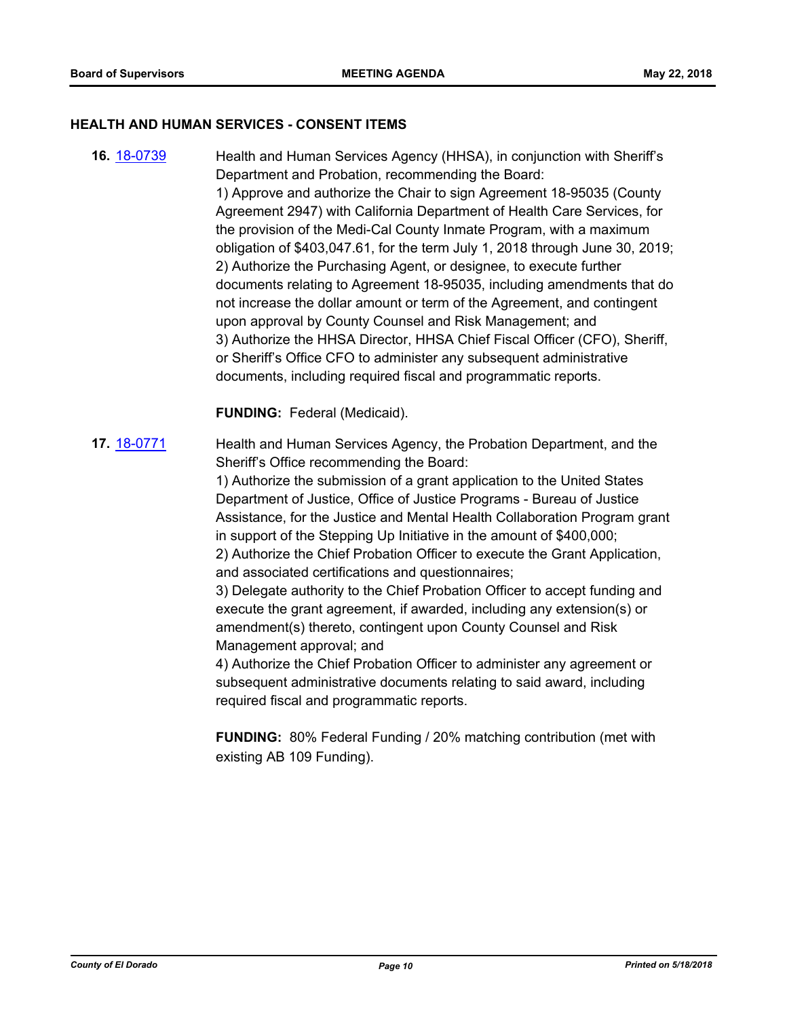#### **HEALTH AND HUMAN SERVICES - CONSENT ITEMS**

**16.** [18-0739](http://eldorado.legistar.com/gateway.aspx?m=l&id=/matter.aspx?key=24086) Health and Human Services Agency (HHSA), in conjunction with Sheriff's Department and Probation, recommending the Board: 1) Approve and authorize the Chair to sign Agreement 18-95035 (County Agreement 2947) with California Department of Health Care Services, for the provision of the Medi-Cal County Inmate Program, with a maximum obligation of \$403,047.61, for the term July 1, 2018 through June 30, 2019; 2) Authorize the Purchasing Agent, or designee, to execute further documents relating to Agreement 18-95035, including amendments that do not increase the dollar amount or term of the Agreement, and contingent upon approval by County Counsel and Risk Management; and 3) Authorize the HHSA Director, HHSA Chief Fiscal Officer (CFO), Sheriff, or Sheriff's Office CFO to administer any subsequent administrative documents, including required fiscal and programmatic reports.

**FUNDING:** Federal (Medicaid).

**17.** [18-0771](http://eldorado.legistar.com/gateway.aspx?m=l&id=/matter.aspx?key=24118) Health and Human Services Agency, the Probation Department, and the Sheriff's Office recommending the Board:

> 1) Authorize the submission of a grant application to the United States Department of Justice, Office of Justice Programs - Bureau of Justice Assistance, for the Justice and Mental Health Collaboration Program grant in support of the Stepping Up Initiative in the amount of \$400,000; 2) Authorize the Chief Probation Officer to execute the Grant Application, and associated certifications and questionnaires;

3) Delegate authority to the Chief Probation Officer to accept funding and execute the grant agreement, if awarded, including any extension(s) or amendment(s) thereto, contingent upon County Counsel and Risk Management approval; and

4) Authorize the Chief Probation Officer to administer any agreement or subsequent administrative documents relating to said award, including required fiscal and programmatic reports.

**FUNDING:** 80% Federal Funding / 20% matching contribution (met with existing AB 109 Funding).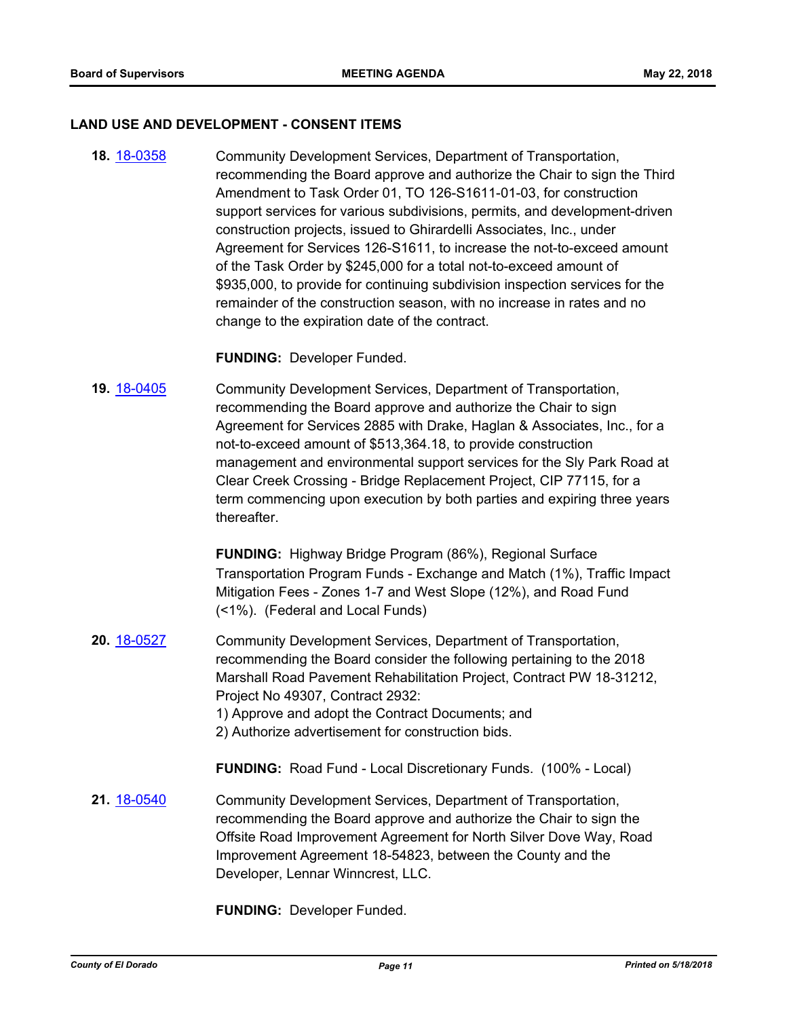#### **LAND USE AND DEVELOPMENT - CONSENT ITEMS**

**18.** [18-0358](http://eldorado.legistar.com/gateway.aspx?m=l&id=/matter.aspx?key=23701) Community Development Services, Department of Transportation, recommending the Board approve and authorize the Chair to sign the Third Amendment to Task Order 01, TO 126-S1611-01-03, for construction support services for various subdivisions, permits, and development-driven construction projects, issued to Ghirardelli Associates, Inc., under Agreement for Services 126-S1611, to increase the not-to-exceed amount of the Task Order by \$245,000 for a total not-to-exceed amount of \$935,000, to provide for continuing subdivision inspection services for the remainder of the construction season, with no increase in rates and no change to the expiration date of the contract.

**FUNDING:** Developer Funded.

**19.** [18-0405](http://eldorado.legistar.com/gateway.aspx?m=l&id=/matter.aspx?key=23750) Community Development Services, Department of Transportation, recommending the Board approve and authorize the Chair to sign Agreement for Services 2885 with Drake, Haglan & Associates, Inc., for a not-to-exceed amount of \$513,364.18, to provide construction management and environmental support services for the Sly Park Road at Clear Creek Crossing - Bridge Replacement Project, CIP 77115, for a term commencing upon execution by both parties and expiring three years thereafter.

> **FUNDING:** Highway Bridge Program (86%), Regional Surface Transportation Program Funds - Exchange and Match (1%), Traffic Impact Mitigation Fees - Zones 1-7 and West Slope (12%), and Road Fund (<1%). (Federal and Local Funds)

- **20.** [18-0527](http://eldorado.legistar.com/gateway.aspx?m=l&id=/matter.aspx?key=23872) Community Development Services, Department of Transportation, recommending the Board consider the following pertaining to the 2018 Marshall Road Pavement Rehabilitation Project, Contract PW 18-31212, Project No 49307, Contract 2932: 1) Approve and adopt the Contract Documents; and
	- 2) Authorize advertisement for construction bids.

**FUNDING:** Road Fund - Local Discretionary Funds. (100% - Local)

**21.** [18-0540](http://eldorado.legistar.com/gateway.aspx?m=l&id=/matter.aspx?key=23885) Community Development Services, Department of Transportation, recommending the Board approve and authorize the Chair to sign the Offsite Road Improvement Agreement for North Silver Dove Way, Road Improvement Agreement 18-54823, between the County and the Developer, Lennar Winncrest, LLC.

**FUNDING:** Developer Funded.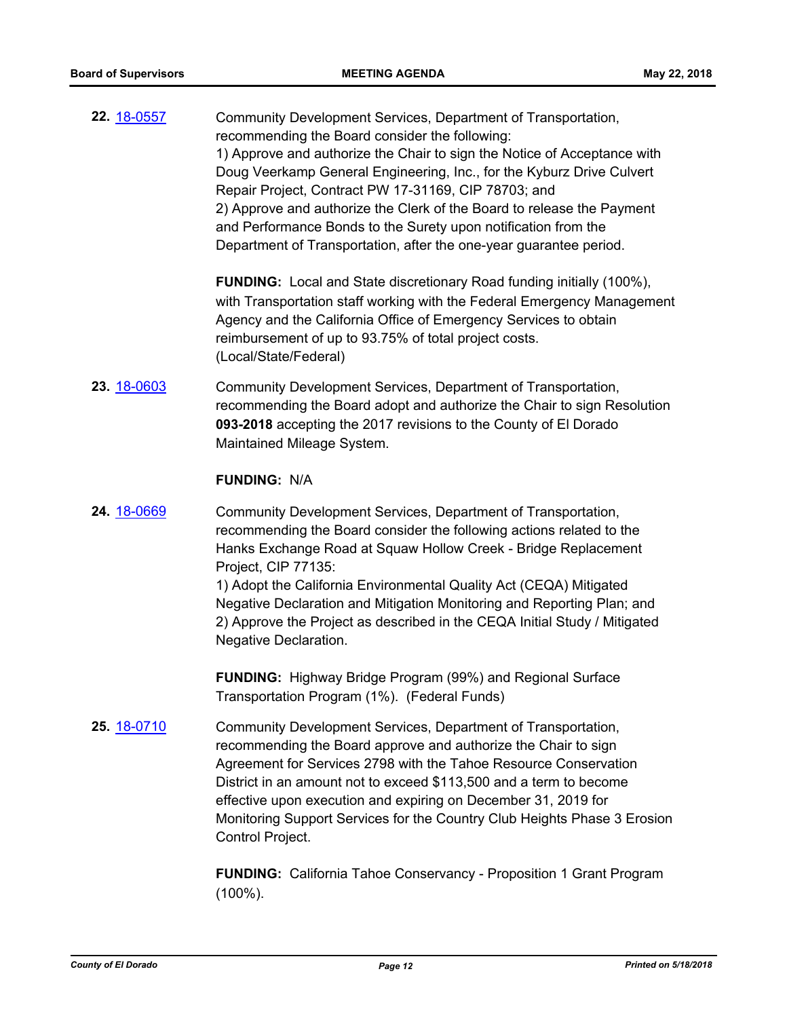**22.** [18-0557](http://eldorado.legistar.com/gateway.aspx?m=l&id=/matter.aspx?key=23902) Community Development Services, Department of Transportation, recommending the Board consider the following: 1) Approve and authorize the Chair to sign the Notice of Acceptance with Doug Veerkamp General Engineering, Inc., for the Kyburz Drive Culvert Repair Project, Contract PW 17-31169, CIP 78703; and 2) Approve and authorize the Clerk of the Board to release the Payment and Performance Bonds to the Surety upon notification from the Department of Transportation, after the one-year guarantee period.

> **FUNDING:** Local and State discretionary Road funding initially (100%), with Transportation staff working with the Federal Emergency Management Agency and the California Office of Emergency Services to obtain reimbursement of up to 93.75% of total project costs. (Local/State/Federal)

**23.** [18-0603](http://eldorado.legistar.com/gateway.aspx?m=l&id=/matter.aspx?key=23948) Community Development Services, Department of Transportation, recommending the Board adopt and authorize the Chair to sign Resolution **093-2018** accepting the 2017 revisions to the County of El Dorado Maintained Mileage System.

#### **FUNDING:** N/A

**24.** [18-0669](http://eldorado.legistar.com/gateway.aspx?m=l&id=/matter.aspx?key=24014) Community Development Services, Department of Transportation, recommending the Board consider the following actions related to the Hanks Exchange Road at Squaw Hollow Creek - Bridge Replacement Project, CIP 77135:

> 1) Adopt the California Environmental Quality Act (CEQA) Mitigated Negative Declaration and Mitigation Monitoring and Reporting Plan; and 2) Approve the Project as described in the CEQA Initial Study / Mitigated Negative Declaration.

**FUNDING:** Highway Bridge Program (99%) and Regional Surface Transportation Program (1%). (Federal Funds)

**25.** [18-0710](http://eldorado.legistar.com/gateway.aspx?m=l&id=/matter.aspx?key=24054) Community Development Services, Department of Transportation, recommending the Board approve and authorize the Chair to sign Agreement for Services 2798 with the Tahoe Resource Conservation District in an amount not to exceed \$113,500 and a term to become effective upon execution and expiring on December 31, 2019 for Monitoring Support Services for the Country Club Heights Phase 3 Erosion Control Project.

> **FUNDING:** California Tahoe Conservancy - Proposition 1 Grant Program (100%).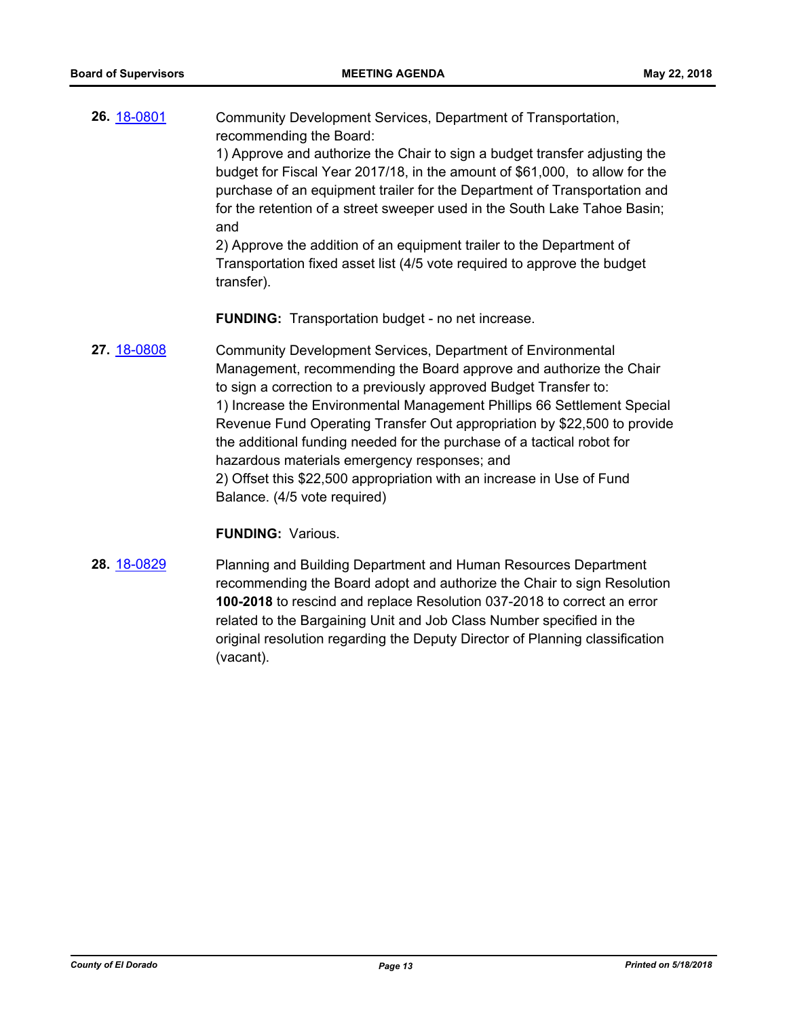**26.** [18-0801](http://eldorado.legistar.com/gateway.aspx?m=l&id=/matter.aspx?key=24148) Community Development Services, Department of Transportation, recommending the Board: 1) Approve and authorize the Chair to sign a budget transfer adjusting the budget for Fiscal Year 2017/18, in the amount of \$61,000, to allow for the

purchase of an equipment trailer for the Department of Transportation and for the retention of a street sweeper used in the South Lake Tahoe Basin; and

2) Approve the addition of an equipment trailer to the Department of Transportation fixed asset list (4/5 vote required to approve the budget transfer).

**FUNDING:** Transportation budget - no net increase.

**27.** [18-0808](http://eldorado.legistar.com/gateway.aspx?m=l&id=/matter.aspx?key=24155) Community Development Services, Department of Environmental Management, recommending the Board approve and authorize the Chair to sign a correction to a previously approved Budget Transfer to: 1) Increase the Environmental Management Phillips 66 Settlement Special Revenue Fund Operating Transfer Out appropriation by \$22,500 to provide the additional funding needed for the purchase of a tactical robot for hazardous materials emergency responses; and 2) Offset this \$22,500 appropriation with an increase in Use of Fund Balance. (4/5 vote required)

#### **FUNDING:** Various.

**28.** [18-0829](http://eldorado.legistar.com/gateway.aspx?m=l&id=/matter.aspx?key=24176) Planning and Building Department and Human Resources Department recommending the Board adopt and authorize the Chair to sign Resolution **100-2018** to rescind and replace Resolution 037-2018 to correct an error related to the Bargaining Unit and Job Class Number specified in the original resolution regarding the Deputy Director of Planning classification (vacant).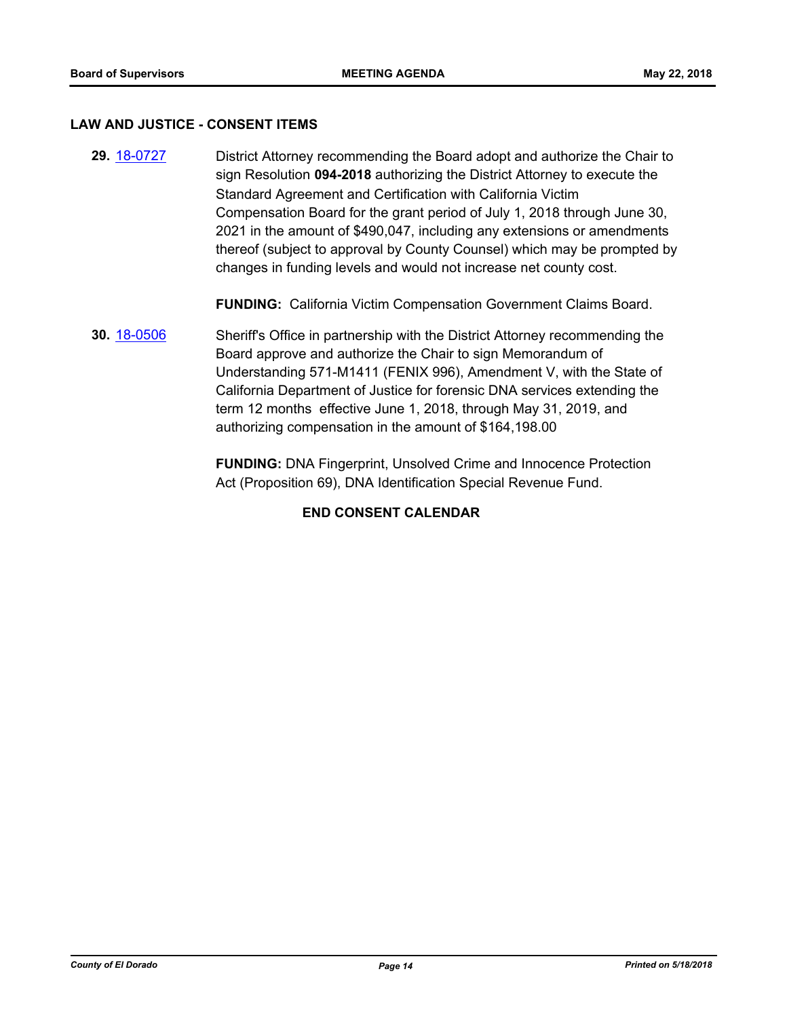#### **LAW AND JUSTICE - CONSENT ITEMS**

**29.** [18-0727](http://eldorado.legistar.com/gateway.aspx?m=l&id=/matter.aspx?key=24074) District Attorney recommending the Board adopt and authorize the Chair to sign Resolution **094-2018** authorizing the District Attorney to execute the Standard Agreement and Certification with California Victim Compensation Board for the grant period of July 1, 2018 through June 30, 2021 in the amount of \$490,047, including any extensions or amendments thereof (subject to approval by County Counsel) which may be prompted by changes in funding levels and would not increase net county cost.

**FUNDING:** California Victim Compensation Government Claims Board.

**30.** [18-0506](http://eldorado.legistar.com/gateway.aspx?m=l&id=/matter.aspx?key=23851) Sheriff's Office in partnership with the District Attorney recommending the Board approve and authorize the Chair to sign Memorandum of Understanding 571-M1411 (FENIX 996), Amendment V, with the State of California Department of Justice for forensic DNA services extending the term 12 months effective June 1, 2018, through May 31, 2019, and authorizing compensation in the amount of \$164,198.00

> **FUNDING:** DNA Fingerprint, Unsolved Crime and Innocence Protection Act (Proposition 69), DNA Identification Special Revenue Fund.

## **END CONSENT CALENDAR**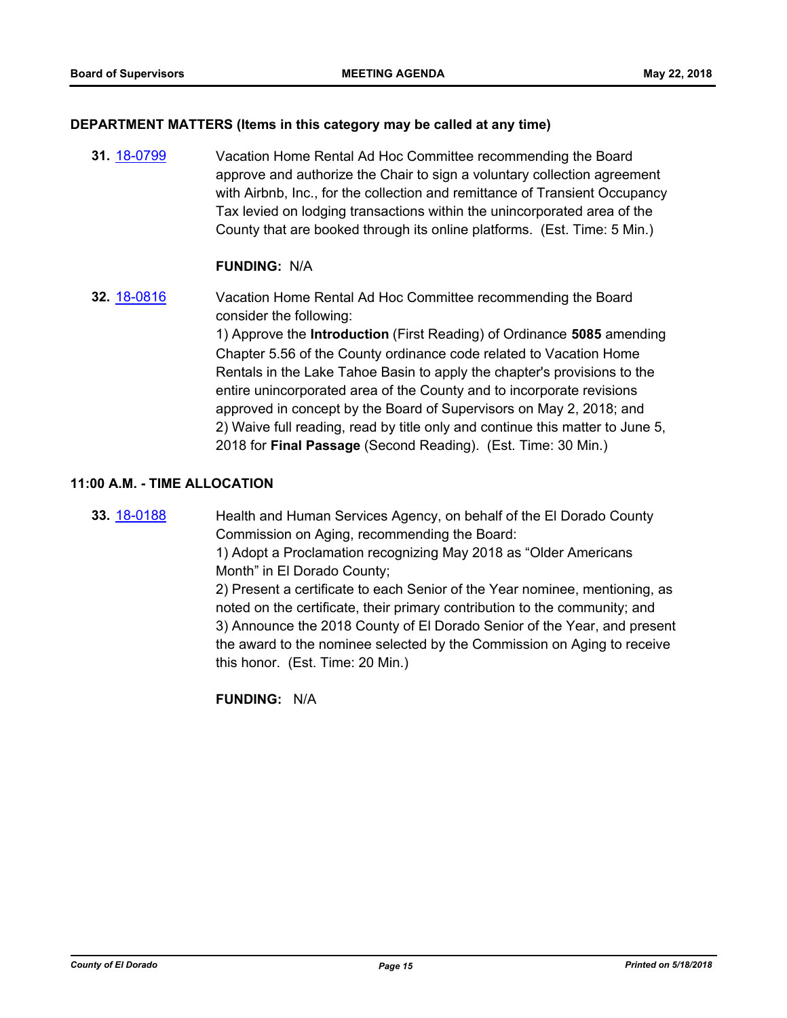#### **DEPARTMENT MATTERS (Items in this category may be called at any time)**

**31.** [18-0799](http://eldorado.legistar.com/gateway.aspx?m=l&id=/matter.aspx?key=24146) Vacation Home Rental Ad Hoc Committee recommending the Board approve and authorize the Chair to sign a voluntary collection agreement with Airbnb, Inc., for the collection and remittance of Transient Occupancy Tax levied on lodging transactions within the unincorporated area of the County that are booked through its online platforms. (Est. Time: 5 Min.)

## **FUNDING:** N/A

**32.** [18-0816](http://eldorado.legistar.com/gateway.aspx?m=l&id=/matter.aspx?key=24163) Vacation Home Rental Ad Hoc Committee recommending the Board consider the following:

> 1) Approve the **Introduction** (First Reading) of Ordinance **5085** amending Chapter 5.56 of the County ordinance code related to Vacation Home Rentals in the Lake Tahoe Basin to apply the chapter's provisions to the entire unincorporated area of the County and to incorporate revisions approved in concept by the Board of Supervisors on May 2, 2018; and 2) Waive full reading, read by title only and continue this matter to June 5, 2018 for **Final Passage** (Second Reading). (Est. Time: 30 Min.)

## **11:00 A.M. - TIME ALLOCATION**

**33.** [18-0188](http://eldorado.legistar.com/gateway.aspx?m=l&id=/matter.aspx?key=23530) Health and Human Services Agency, on behalf of the El Dorado County Commission on Aging, recommending the Board:

> 1) Adopt a Proclamation recognizing May 2018 as "Older Americans Month" in El Dorado County;

2) Present a certificate to each Senior of the Year nominee, mentioning, as noted on the certificate, their primary contribution to the community; and 3) Announce the 2018 County of El Dorado Senior of the Year, and present the award to the nominee selected by the Commission on Aging to receive this honor. (Est. Time: 20 Min.)

**FUNDING:** N/A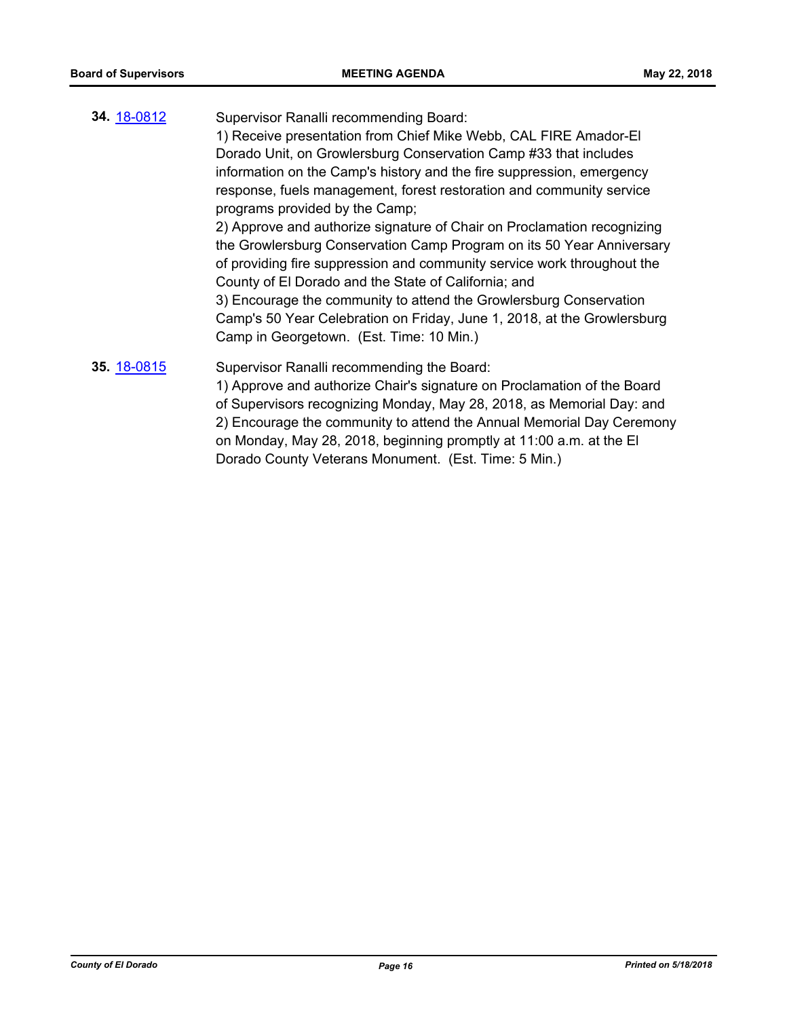**34.** [18-0812](http://eldorado.legistar.com/gateway.aspx?m=l&id=/matter.aspx?key=24159) Supervisor Ranalli recommending Board: 1) Receive presentation from Chief Mike Webb, CAL FIRE Amador-El Dorado Unit, on Growlersburg Conservation Camp #33 that includes information on the Camp's history and the fire suppression, emergency response, fuels management, forest restoration and community service programs provided by the Camp; 2) Approve and authorize signature of Chair on Proclamation recognizing the Growlersburg Conservation Camp Program on its 50 Year Anniversary of providing fire suppression and community service work throughout the County of El Dorado and the State of California; and 3) Encourage the community to attend the Growlersburg Conservation Camp's 50 Year Celebration on Friday, June 1, 2018, at the Growlersburg Camp in Georgetown. (Est. Time: 10 Min.) **35.** [18-0815](http://eldorado.legistar.com/gateway.aspx?m=l&id=/matter.aspx?key=24162) Supervisor Ranalli recommending the Board: 1) Approve and authorize Chair's signature on Proclamation of the Board of Supervisors recognizing Monday, May 28, 2018, as Memorial Day: and 2) Encourage the community to attend the Annual Memorial Day Ceremony on Monday, May 28, 2018, beginning promptly at 11:00 a.m. at the El

Dorado County Veterans Monument. (Est. Time: 5 Min.)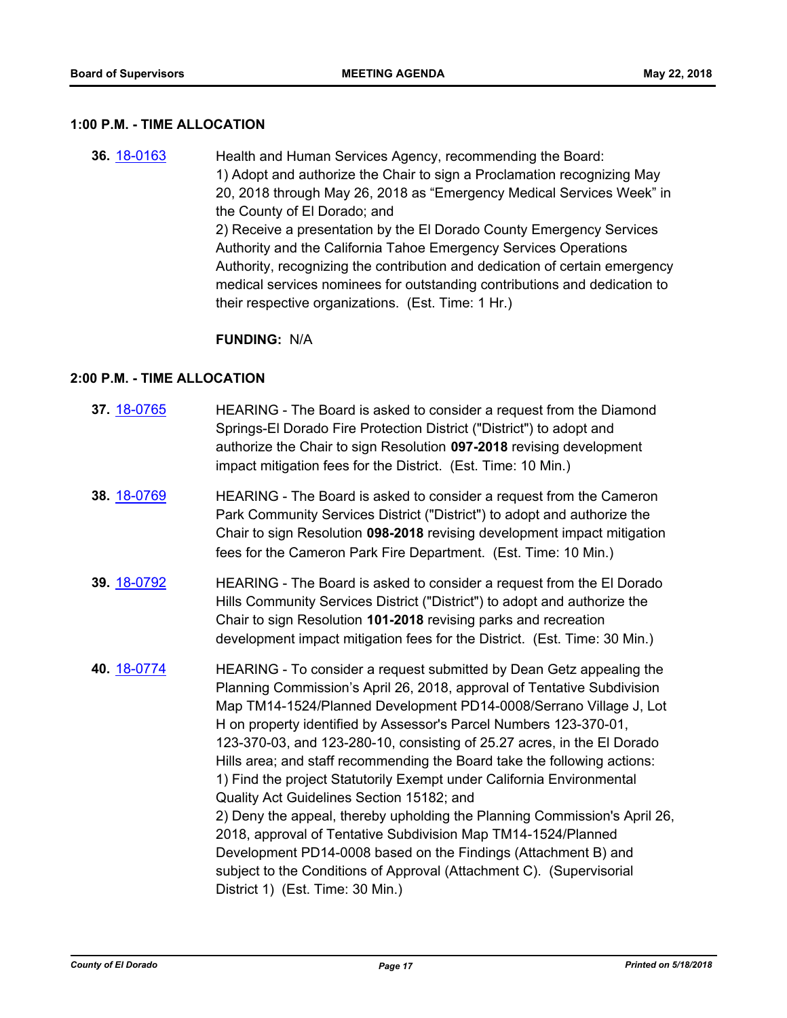### **1:00 P.M. - TIME ALLOCATION**

**36.** [18-0163](http://eldorado.legistar.com/gateway.aspx?m=l&id=/matter.aspx?key=23505) Health and Human Services Agency, recommending the Board: 1) Adopt and authorize the Chair to sign a Proclamation recognizing May 20, 2018 through May 26, 2018 as "Emergency Medical Services Week" in the County of El Dorado; and 2) Receive a presentation by the El Dorado County Emergency Services Authority and the California Tahoe Emergency Services Operations Authority, recognizing the contribution and dedication of certain emergency medical services nominees for outstanding contributions and dedication to their respective organizations. (Est. Time: 1 Hr.)

## **FUNDING:** N/A

#### **2:00 P.M. - TIME ALLOCATION**

| 37. 18-0765 | HEARING - The Board is asked to consider a request from the Diamond<br>Springs-El Dorado Fire Protection District ("District") to adopt and<br>authorize the Chair to sign Resolution 097-2018 revising development<br>impact mitigation fees for the District. (Est. Time: 10 Min.)                                                                                                                                                                                                                                                                                                                                                                                                                                                                                                                                                                                                                |
|-------------|-----------------------------------------------------------------------------------------------------------------------------------------------------------------------------------------------------------------------------------------------------------------------------------------------------------------------------------------------------------------------------------------------------------------------------------------------------------------------------------------------------------------------------------------------------------------------------------------------------------------------------------------------------------------------------------------------------------------------------------------------------------------------------------------------------------------------------------------------------------------------------------------------------|
| 38. 18-0769 | HEARING - The Board is asked to consider a request from the Cameron<br>Park Community Services District ("District") to adopt and authorize the<br>Chair to sign Resolution 098-2018 revising development impact mitigation<br>fees for the Cameron Park Fire Department. (Est. Time: 10 Min.)                                                                                                                                                                                                                                                                                                                                                                                                                                                                                                                                                                                                      |
| 39. 18-0792 | HEARING - The Board is asked to consider a request from the El Dorado<br>Hills Community Services District ("District") to adopt and authorize the<br>Chair to sign Resolution 101-2018 revising parks and recreation<br>development impact mitigation fees for the District. (Est. Time: 30 Min.)                                                                                                                                                                                                                                                                                                                                                                                                                                                                                                                                                                                                  |
| 40. 18-0774 | HEARING - To consider a request submitted by Dean Getz appealing the<br>Planning Commission's April 26, 2018, approval of Tentative Subdivision<br>Map TM14-1524/Planned Development PD14-0008/Serrano Village J, Lot<br>H on property identified by Assessor's Parcel Numbers 123-370-01,<br>123-370-03, and 123-280-10, consisting of 25.27 acres, in the El Dorado<br>Hills area; and staff recommending the Board take the following actions:<br>1) Find the project Statutorily Exempt under California Environmental<br>Quality Act Guidelines Section 15182; and<br>2) Deny the appeal, thereby upholding the Planning Commission's April 26,<br>2018, approval of Tentative Subdivision Map TM14-1524/Planned<br>Development PD14-0008 based on the Findings (Attachment B) and<br>subject to the Conditions of Approval (Attachment C). (Supervisorial<br>District 1) (Est. Time: 30 Min.) |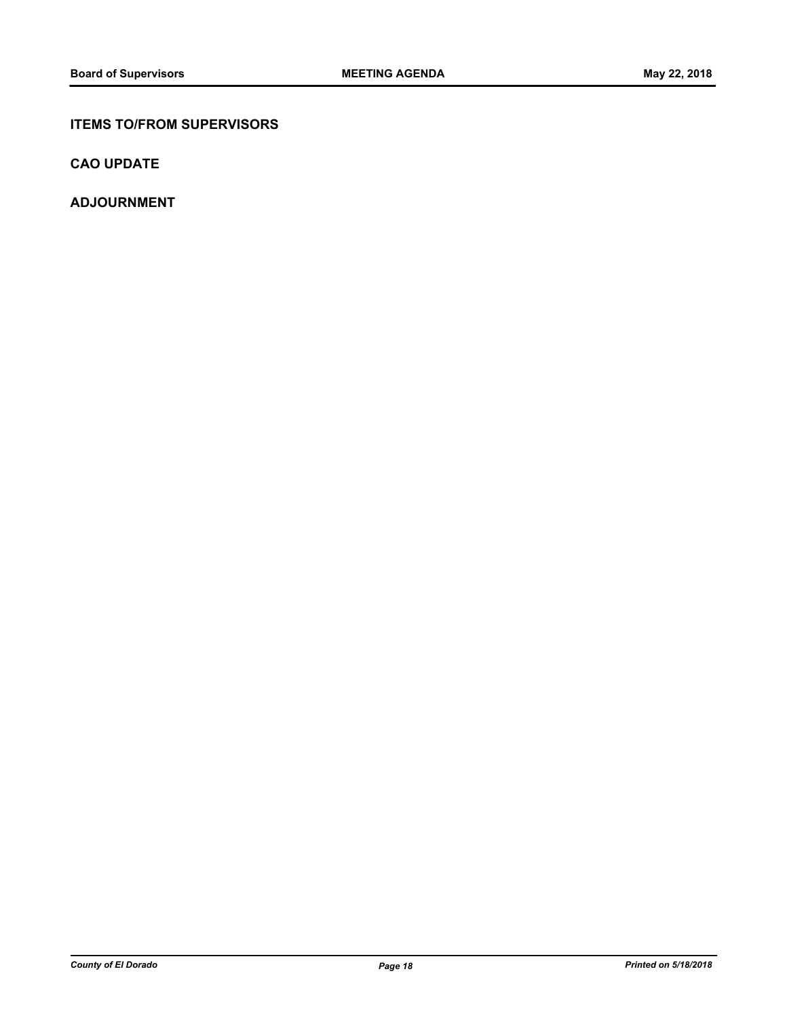## **ITEMS TO/FROM SUPERVISORS**

**CAO UPDATE**

**ADJOURNMENT**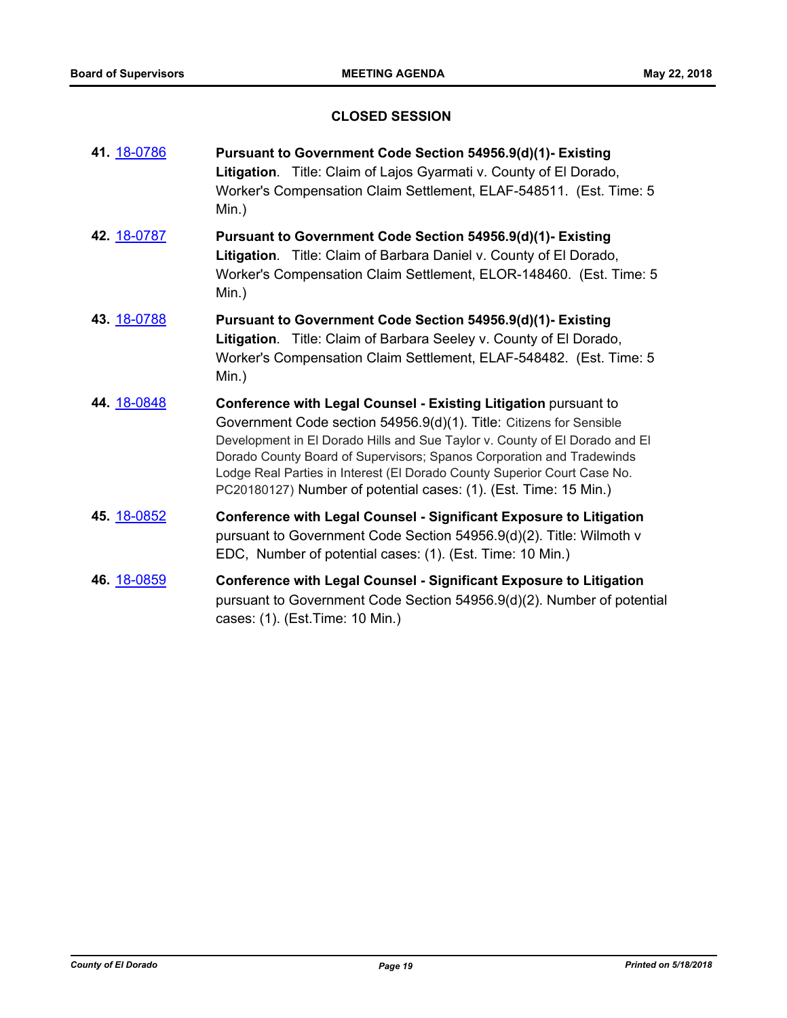## **CLOSED SESSION**

| 41. 18-0786 | Pursuant to Government Code Section 54956.9(d)(1)- Existing<br>Litigation. Title: Claim of Lajos Gyarmati v. County of El Dorado,<br>Worker's Compensation Claim Settlement, ELAF-548511. (Est. Time: 5<br>$Min.$ )                                                                                                                                                                                                                            |
|-------------|------------------------------------------------------------------------------------------------------------------------------------------------------------------------------------------------------------------------------------------------------------------------------------------------------------------------------------------------------------------------------------------------------------------------------------------------|
| 42. 18-0787 | Pursuant to Government Code Section 54956.9(d)(1)- Existing<br>Litigation. Title: Claim of Barbara Daniel v. County of El Dorado,<br>Worker's Compensation Claim Settlement, ELOR-148460. (Est. Time: 5<br>Min.)                                                                                                                                                                                                                               |
| 43. 18-0788 | Pursuant to Government Code Section 54956.9(d)(1)- Existing<br>Litigation. Title: Claim of Barbara Seeley v. County of El Dorado,<br>Worker's Compensation Claim Settlement, ELAF-548482. (Est. Time: 5<br>$Min.$ )                                                                                                                                                                                                                            |
| 44. 18-0848 | Conference with Legal Counsel - Existing Litigation pursuant to<br>Government Code section 54956.9(d)(1). Title: Citizens for Sensible<br>Development in El Dorado Hills and Sue Taylor v. County of El Dorado and El<br>Dorado County Board of Supervisors; Spanos Corporation and Tradewinds<br>Lodge Real Parties in Interest (El Dorado County Superior Court Case No.<br>PC20180127) Number of potential cases: (1). (Est. Time: 15 Min.) |
| 45. 18-0852 | <b>Conference with Legal Counsel - Significant Exposure to Litigation</b><br>pursuant to Government Code Section 54956.9(d)(2). Title: Wilmoth v<br>EDC, Number of potential cases: (1). (Est. Time: 10 Min.)                                                                                                                                                                                                                                  |
| 46. 18-0859 | <b>Conference with Legal Counsel - Significant Exposure to Litigation</b><br>pursuant to Government Code Section 54956.9(d)(2). Number of potential<br>cases: (1). (Est. Time: 10 Min.)                                                                                                                                                                                                                                                        |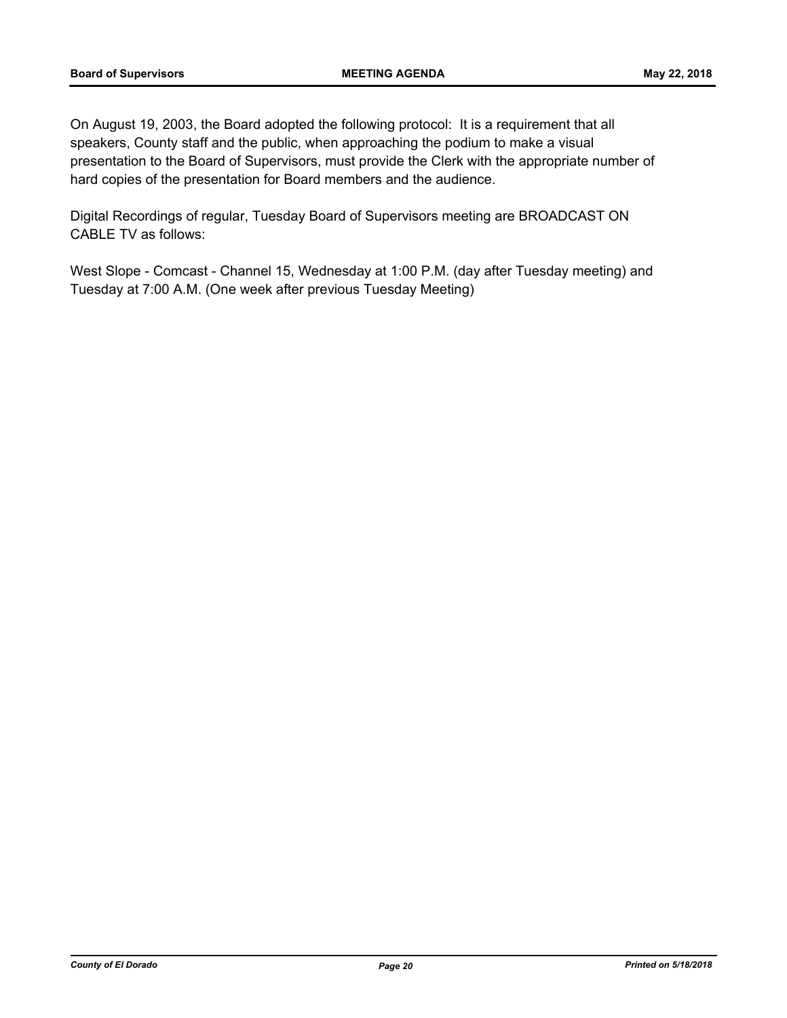On August 19, 2003, the Board adopted the following protocol: It is a requirement that all speakers, County staff and the public, when approaching the podium to make a visual presentation to the Board of Supervisors, must provide the Clerk with the appropriate number of hard copies of the presentation for Board members and the audience.

Digital Recordings of regular, Tuesday Board of Supervisors meeting are BROADCAST ON CABLE TV as follows:

West Slope - Comcast - Channel 15, Wednesday at 1:00 P.M. (day after Tuesday meeting) and Tuesday at 7:00 A.M. (One week after previous Tuesday Meeting)